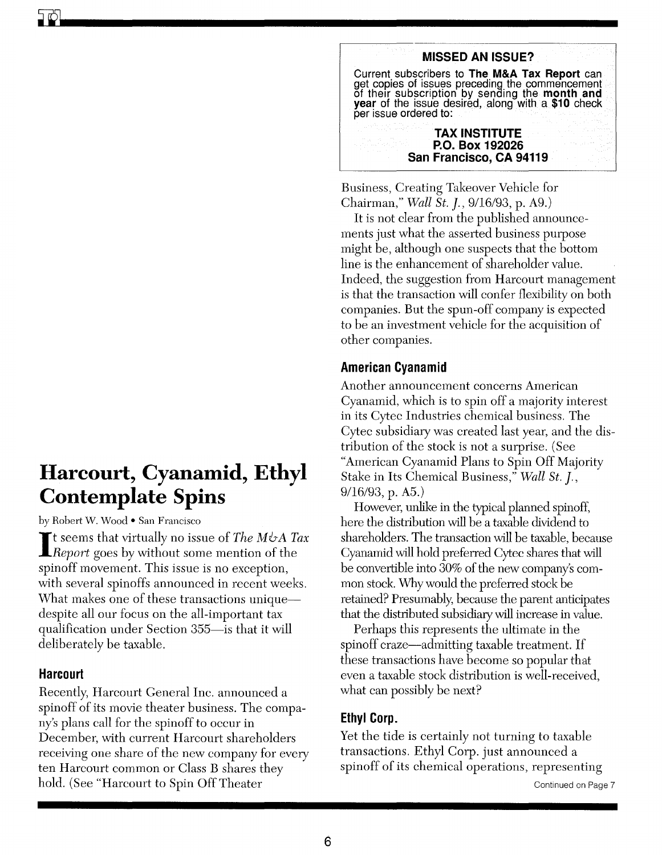# **Harcourt, Cyanamid, Ethyl Contemplate Spins**

by Robert W. Wood • San Francisco

I t seems that virtually no issue of *The M&A Tax Report* goes by without some mention of the spinoff movement. This issue is no exception, with several spinoffs announced in recent weeks. What makes one of these transactions uniquedespite all our focus on the all-important tax qualification under Section 355—is that it will deliberately be taxable.

## **Harcourt**

**ill** 

Recently, Harcourt General Inc. announced a spinoff of its movie theater business. The company's plans call for the spinoff to occur in December, with current Harcourt shareholders receiving one share of the new company for every ten Harcourt common or Class B shares they hold. (See "Harcourt to Spin Off Theater



Business, Creating Takeover Vehicle for Chairman," *Wall St.* J., 9/16/93, p. A9.)

It is not clear from the published announcements just what the asserted business purpose might be, although one suspects that the bottom line is the enhancement of shareholder value. Indeed, the suggestion from Harcourt management is that the transaction will confer flexibility on both companies. But the spun-off company is expected to be an investment vehicle for the acquisition of other companies.

## **American Cyanamid**

Another announcement concerns American Cyanamid, which is to spin off a majority interest in its Cytec Industries chemical business. The Cytec subsidiary was created last year, and the distribution of the stock is not a surprise. (See "American Cyanamid Plans to Spin Off Majority Stake in Its Chemical Business," *Wall St.* J., 9/16/93, p. A5.)

However, unlike in the typical planned spinoff, here the distribution will be a taxable dividend to shareholders. The transaction will be taxable, because Cyanamid will hold preferred Cytec shares that will be convertible into 30% of the new company's common stock. Why would the preferred stock be retained? Presumably, because the parent anticipates that the distributed subsidiary will increase in value.

Perhaps this represents the ultimate in the spinoff craze—admitting taxable treatment. If these transactions have become so popular that even a taxable stock distribution is well-received, what can possibly be next?

## **Ethyl Corp.**

Yet the tide is certainly not turning to taxable transactions. Ethyl Corp. just announced a spinoff of its chemical operations, representing

Continued on Page 7